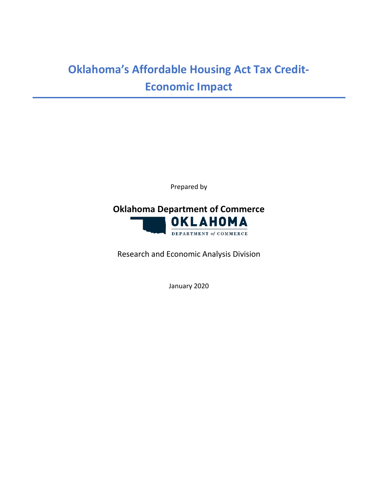# **Oklahoma's Affordable Housing Act Tax Credit-Economic Impact**

Prepared by



Research and Economic Analysis Division

January 2020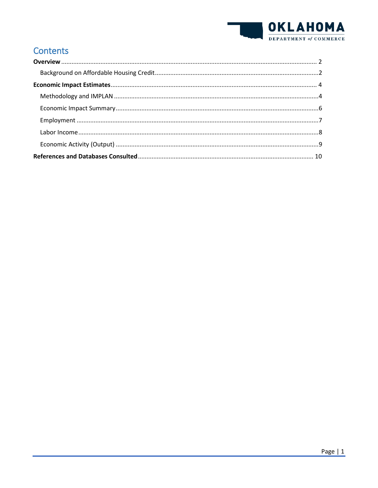

# **Contents**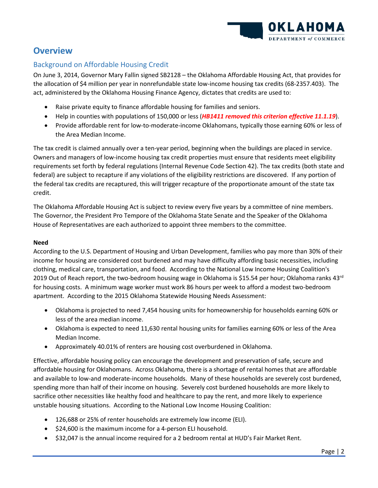

# <span id="page-2-0"></span>**Overview**

#### <span id="page-2-1"></span>Background on Affordable Housing Credit

On June 3, 2014, Governor Mary Fallin signed SB2128 – the Oklahoma Affordable Housing Act, that provides for the allocation of \$4 million per year in nonrefundable state low-income housing tax credits (68-2357.403). The act, administered by the Oklahoma Housing Finance Agency, dictates that credits are used to:

- Raise private equity to finance affordable housing for families and seniors.
- Help in counties with populations of 150,000 or less (*HB1411 removed this criterion effective 11.1.19*).
- Provide affordable rent for low-to-moderate-income Oklahomans, typically those earning 60% or less of the Area Median Income.

The tax credit is claimed annually over a ten-year period, beginning when the buildings are placed in service. Owners and managers of low-income housing tax credit properties must ensure that residents meet eligibility requirements set forth by federal regulations (Internal Revenue Code Section 42). The tax credits (both state and federal) are subject to recapture if any violations of the eligibility restrictions are discovered. If any portion of the federal tax credits are recaptured, this will trigger recapture of the proportionate amount of the state tax credit.

The Oklahoma Affordable Housing Act is subject to review every five years by a committee of nine members. The Governor, the President Pro Tempore of the Oklahoma State Senate and the Speaker of the Oklahoma House of Representatives are each authorized to appoint three members to the committee.

#### **Need**

According to the U.S. Department of Housing and Urban Development, families who pay more than 30% of their income for housing are considered cost burdened and may have difficulty affording basic necessities, including clothing, medical care, transportation, and food. According to the National Low Income Housing Coalition's 2019 Out of Reach report, the two-bedroom housing wage in Oklahoma is \$15.54 per hour; Oklahoma ranks  $43<sup>rd</sup>$ for housing costs. A minimum wage worker must work 86 hours per week to afford a modest two-bedroom apartment. According to the 2015 Oklahoma Statewide Housing Needs Assessment:

- Oklahoma is projected to need 7,454 housing units for homeownership for households earning 60% or less of the area median income.
- Oklahoma is expected to need 11,630 rental housing units for families earning 60% or less of the Area Median Income.
- Approximately 40.01% of renters are housing cost overburdened in Oklahoma.

Effective, affordable housing policy can encourage the development and preservation of safe, secure and affordable housing for Oklahomans. Across Oklahoma, there is a shortage of rental homes that are affordable and available to low-and moderate-income households. Many of these households are severely cost burdened, spending more than half of their income on housing. Severely cost burdened households are more likely to sacrifice other necessities like healthy food and healthcare to pay the rent, and more likely to experience unstable housing situations. According to the National Low Income Housing Coalition:

- 126,688 or 25% of renter households are extremely low income (ELI).
- \$24,600 is the maximum income for a 4-person ELI household.
- \$32,047 is the annual income required for a 2 bedroom rental at HUD's Fair Market Rent.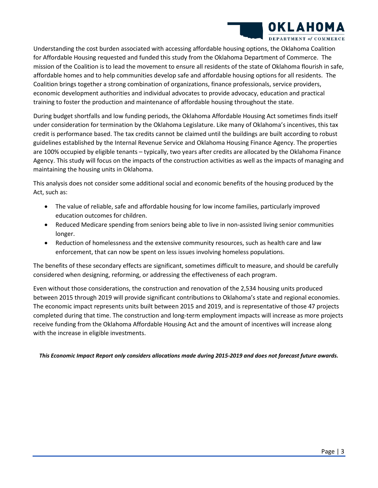

Understanding the cost burden associated with accessing affordable housing options, the Oklahoma Coalition for Affordable Housing requested and funded this study from the Oklahoma Department of Commerce. The mission of the Coalition is to lead the movement to ensure all residents of the state of Oklahoma flourish in safe, affordable homes and to help communities develop safe and affordable housing options for all residents. The Coalition brings together a strong combination of organizations, finance professionals, service providers, economic development authorities and individual advocates to provide advocacy, education and practical training to foster the production and maintenance of affordable housing throughout the state.

During budget shortfalls and low funding periods, the Oklahoma Affordable Housing Act sometimes finds itself under consideration for termination by the Oklahoma Legislature. Like many of Oklahoma's incentives, this tax credit is performance based. The tax credits cannot be claimed until the buildings are built according to robust guidelines established by the Internal Revenue Service and Oklahoma Housing Finance Agency. The properties are 100% occupied by eligible tenants – typically, two years after credits are allocated by the Oklahoma Finance Agency. This study will focus on the impacts of the construction activities as well as the impacts of managing and maintaining the housing units in Oklahoma.

This analysis does not consider some additional social and economic benefits of the housing produced by the Act, such as:

- The value of reliable, safe and affordable housing for low income families, particularly improved education outcomes for children.
- Reduced Medicare spending from seniors being able to live in non-assisted living senior communities longer.
- Reduction of homelessness and the extensive community resources, such as health care and law enforcement, that can now be spent on less issues involving homeless populations.

The benefits of these secondary effects are significant, sometimes difficult to measure, and should be carefully considered when designing, reforming, or addressing the effectiveness of each program.

Even without those considerations, the construction and renovation of the 2,534 housing units produced between 2015 through 2019 will provide significant contributions to Oklahoma's state and regional economies. The economic impact represents units built between 2015 and 2019, and is representative of those 47 projects completed during that time. The construction and long-term employment impacts will increase as more projects receive funding from the Oklahoma Affordable Housing Act and the amount of incentives will increase along with the increase in eligible investments.

*This Economic Impact Report only considers allocations made during 2015-2019 and does not forecast future awards.*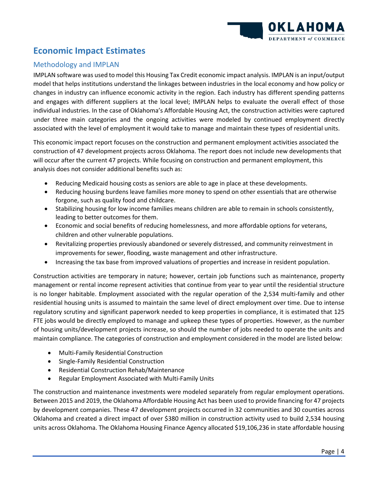

# <span id="page-4-0"></span>**Economic Impact Estimates**

#### <span id="page-4-1"></span>Methodology and IMPLAN

IMPLAN software was used to model this Housing Tax Credit economic impact analysis. IMPLAN is an input/output model that helps institutions understand the linkages between industries in the local economy and how policy or changes in industry can influence economic activity in the region. Each industry has different spending patterns and engages with different suppliers at the local level; IMPLAN helps to evaluate the overall effect of those individual industries. In the case of Oklahoma's Affordable Housing Act, the construction activities were captured under three main categories and the ongoing activities were modeled by continued employment directly associated with the level of employment it would take to manage and maintain these types of residential units.

This economic impact report focuses on the construction and permanent employment activities associated the construction of 47 development projects across Oklahoma. The report does not include new developments that will occur after the current 47 projects. While focusing on construction and permanent employment, this analysis does not consider additional benefits such as:

- Reducing Medicaid housing costs as seniors are able to age in place at these developments.
- Reducing housing burdens leave families more money to spend on other essentials that are otherwise forgone, such as quality food and childcare.
- Stabilizing housing for low income families means children are able to remain in schools consistently, leading to better outcomes for them.
- Economic and social benefits of reducing homelessness, and more affordable options for veterans, children and other vulnerable populations.
- Revitalizing properties previously abandoned or severely distressed, and community reinvestment in improvements for sewer, flooding, waste management and other infrastructure.
- Increasing the tax base from improved valuations of properties and increase in resident population.

Construction activities are temporary in nature; however, certain job functions such as maintenance, property management or rental income represent activities that continue from year to year until the residential structure is no longer habitable. Employment associated with the regular operation of the 2,534 multi-family and other residential housing units is assumed to maintain the same level of direct employment over time. Due to intense regulatory scrutiny and significant paperwork needed to keep properties in compliance, it is estimated that 125 FTE jobs would be directly employed to manage and upkeep these types of properties. However, as the number of housing units/development projects increase, so should the number of jobs needed to operate the units and maintain compliance. The categories of construction and employment considered in the model are listed below:

- Multi-Family Residential Construction
- Single-Family Residential Construction
- Residential Construction Rehab/Maintenance
- Regular Employment Associated with Multi-Family Units

The construction and maintenance investments were modeled separately from regular employment operations. Between 2015 and 2019, the Oklahoma Affordable Housing Act has been used to provide financing for 47 projects by development companies. These 47 development projects occurred in 32 communities and 30 counties across Oklahoma and created a direct impact of over \$380 million in construction activity used to build 2,534 housing units across Oklahoma. The Oklahoma Housing Finance Agency allocated \$19,106,236 in state affordable housing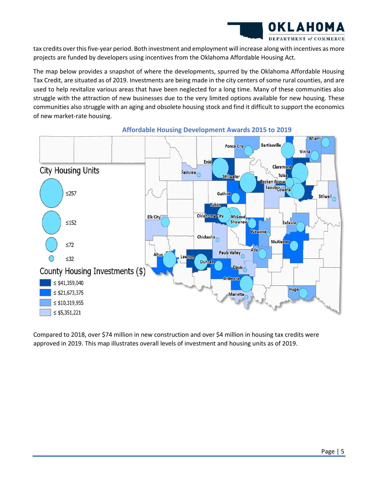

tax credits over this five-year period. Both investment and employment will increase along with incentives as more projects are funded by developers using incentives from the Oklahoma Affordable Housing Act.

The map below provides a snapshot of where the developments, spurred by the Oklahoma Affordable Housing Tax Credit, are situated as of 2019. Investments are being made in the city centers of some rural counties, and are used to help revitalize various areas that have been neglected for a long time. Many of these communities also struggle with the attraction of new businesses due to the very limited options available for new housing. These communities also struggle with an aging and obsolete housing stock and find it difficult to support the economics of new market-rate housing.



**Affordable Housing Development Awards 2015 to 2019**

Compared to 2018, over \$74 million in new construction and over \$4 million in housing tax credits were approved in 2019. This map illustrates overall levels of investment and housing units as of 2019.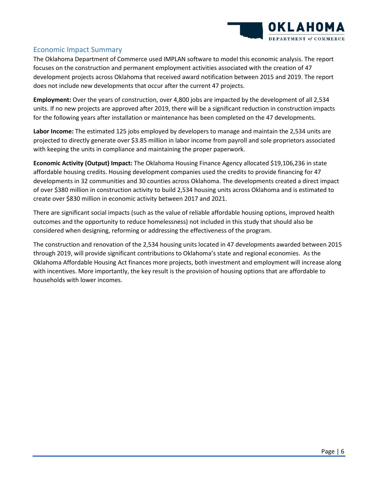

#### <span id="page-6-0"></span>Economic Impact Summary

The Oklahoma Department of Commerce used IMPLAN software to model this economic analysis. The report focuses on the construction and permanent employment activities associated with the creation of 47 development projects across Oklahoma that received award notification between 2015 and 2019. The report does not include new developments that occur after the current 47 projects.

**Employment:** Over the years of construction, over 4,800 jobs are impacted by the development of all 2,534 units. If no new projects are approved after 2019, there will be a significant reduction in construction impacts for the following years after installation or maintenance has been completed on the 47 developments.

**Labor Income:** The estimated 125 jobs employed by developers to manage and maintain the 2,534 units are projected to directly generate over \$3.85 million in labor income from payroll and sole proprietors associated with keeping the units in compliance and maintaining the proper paperwork.

**Economic Activity (Output) Impact:** The Oklahoma Housing Finance Agency allocated \$19,106,236 in state affordable housing credits. Housing development companies used the credits to provide financing for 47 developments in 32 communities and 30 counties across Oklahoma. The developments created a direct impact of over \$380 million in construction activity to build 2,534 housing units across Oklahoma and is estimated to create over \$830 million in economic activity between 2017 and 2021.

There are significant social impacts (such as the value of reliable affordable housing options, improved health outcomes and the opportunity to reduce homelessness) not included in this study that should also be considered when designing, reforming or addressing the effectiveness of the program.

The construction and renovation of the 2,534 housing units located in 47 developments awarded between 2015 through 2019, will provide significant contributions to Oklahoma's state and regional economies. As the Oklahoma Affordable Housing Act finances more projects, both investment and employment will increase along with incentives. More importantly, the key result is the provision of housing options that are affordable to households with lower incomes.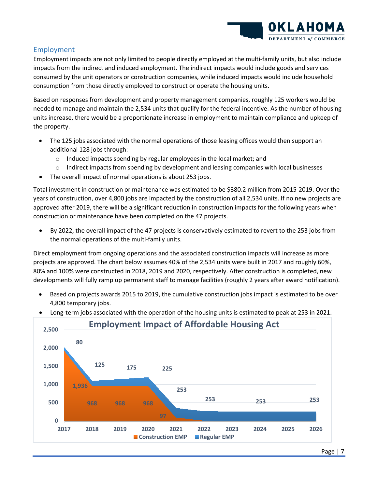

### <span id="page-7-0"></span>Employment

Employment impacts are not only limited to people directly employed at the multi-family units, but also include impacts from the indirect and induced employment. The indirect impacts would include goods and services consumed by the unit operators or construction companies, while induced impacts would include household consumption from those directly employed to construct or operate the housing units.

Based on responses from development and property management companies, roughly 125 workers would be needed to manage and maintain the 2,534 units that qualify for the federal incentive. As the number of housing units increase, there would be a proportionate increase in employment to maintain compliance and upkeep of the property.

- The 125 jobs associated with the normal operations of those leasing offices would then support an additional 128 jobs through:
	- o Induced impacts spending by regular employees in the local market; and
	- $\circ$  Indirect impacts from spending by development and leasing companies with local businesses
- The overall impact of normal operations is about 253 jobs.

Total investment in construction or maintenance was estimated to be \$380.2 million from 2015-2019. Over the years of construction, over 4,800 jobs are impacted by the construction of all 2,534 units. If no new projects are approved after 2019, there will be a significant reduction in construction impacts for the following years when construction or maintenance have been completed on the 47 projects.

• By 2022, the overall impact of the 47 projects is conservatively estimated to revert to the 253 jobs from the normal operations of the multi-family units.

Direct employment from ongoing operations and the associated construction impacts will increase as more projects are approved. The chart below assumes 40% of the 2,534 units were built in 2017 and roughly 60%, 80% and 100% were constructed in 2018, 2019 and 2020, respectively. After construction is completed, new developments will fully ramp up permanent staff to manage facilities (roughly 2 years after award notification).

• Based on projects awards 2015 to 2019, the cumulative construction jobs impact is estimated to be over 4,800 temporary jobs.



• Long-term jobs associated with the operation of the housing units is estimated to peak at 253 in 2021.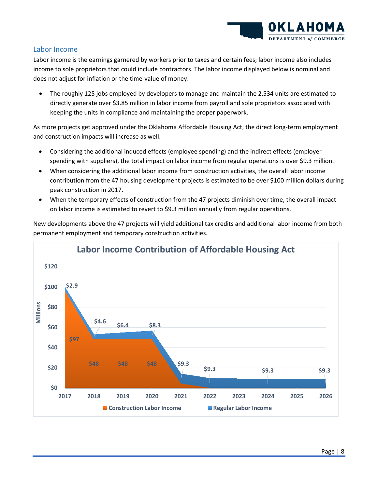

#### <span id="page-8-0"></span>Labor Income

Labor income is the earnings garnered by workers prior to taxes and certain fees; labor income also includes income to sole proprietors that could include contractors. The labor income displayed below is nominal and does not adjust for inflation or the time-value of money.

• The roughly 125 jobs employed by developers to manage and maintain the 2,534 units are estimated to directly generate over \$3.85 million in labor income from payroll and sole proprietors associated with keeping the units in compliance and maintaining the proper paperwork.

As more projects get approved under the Oklahoma Affordable Housing Act, the direct long-term employment and construction impacts will increase as well.

- Considering the additional induced effects (employee spending) and the indirect effects (employer spending with suppliers), the total impact on labor income from regular operations is over \$9.3 million.
- When considering the additional labor income from construction activities, the overall labor income contribution from the 47 housing development projects is estimated to be over \$100 million dollars during peak construction in 2017.
- When the temporary effects of construction from the 47 projects diminish over time, the overall impact on labor income is estimated to revert to \$9.3 million annually from regular operations.

New developments above the 47 projects will yield additional tax credits and additional labor income from both permanent employment and temporary construction activities.

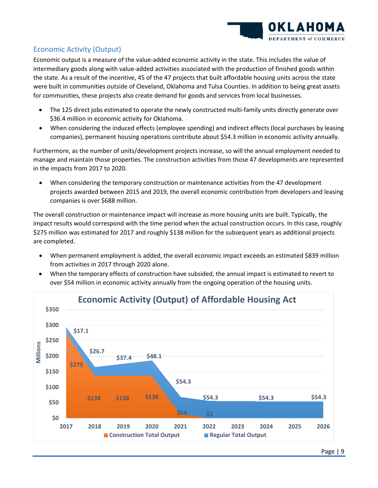

### <span id="page-9-0"></span>Economic Activity (Output)

Economic output is a measure of the value-added economic activity in the state. This includes the value of intermediary goods along with value-added activities associated with the production of finished goods within the state. As a result of the incentive, 45 of the 47 projects that built affordable housing units across the state were built in communities outside of Cleveland, Oklahoma and Tulsa Counties. In addition to being great assets for communities, these projects also create demand for goods and services from local businesses.

- The 125 direct jobs estimated to operate the newly constructed multi-family units directly generate over \$36.4 million in economic activity for Oklahoma.
- When considering the induced effects (employee spending) and indirect effects (local purchases by leasing companies), permanent housing operations contribute about \$54.3 million in economic activity annually.

Furthermore, as the number of units/development projects increase, so will the annual employment needed to manage and maintain those properties. The construction activities from those 47 developments are represented in the impacts from 2017 to 2020.

• When considering the temporary construction or maintenance activities from the 47 development projects awarded between 2015 and 2019, the overall economic contribution from developers and leasing companies is over \$688 million.

The overall construction or maintenance impact will increase as more housing units are built. Typically, the impact results would correspond with the time period when the actual construction occurs. In this case, roughly \$275 million was estimated for 2017 and roughly \$138 million for the subsequent years as additional projects are completed.

- When permanent employment is added, the overall economic impact exceeds an estimated \$839 million from activities in 2017 through 2020 alone.
- When the temporary effects of construction have subsided, the annual impact is estimated to revert to over \$54 million in economic activity annually from the ongoing operation of the housing units.